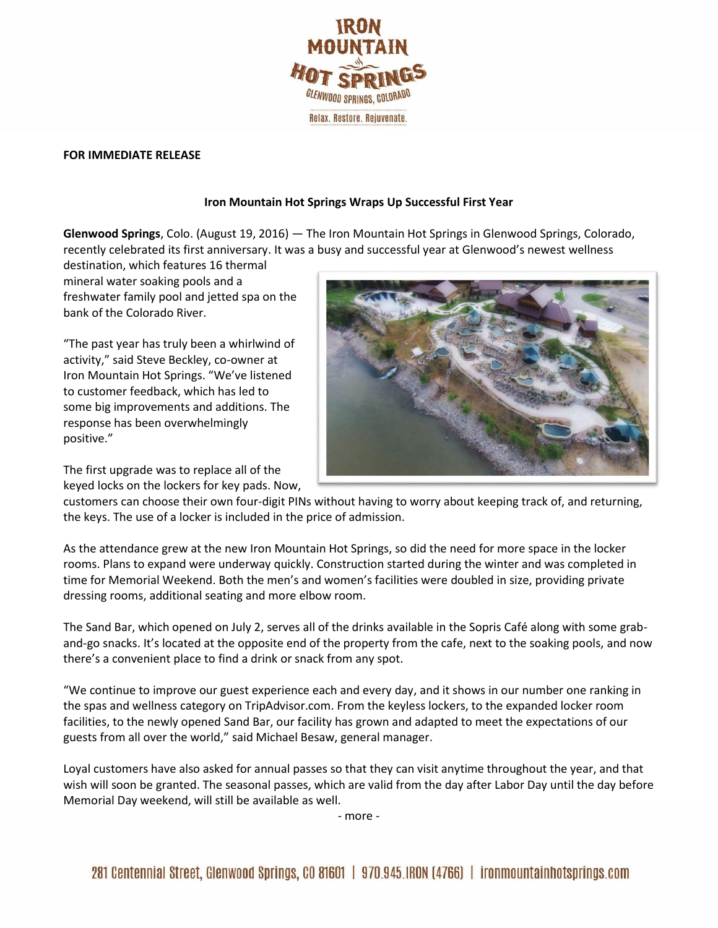

## **FOR IMMEDIATE RELEASE**

## **Iron Mountain Hot Springs Wraps Up Successful First Year**

**Glenwood Springs**, Colo. (August 19, 2016) — The Iron Mountain Hot Springs in Glenwood Springs, Colorado, recently celebrated its first anniversary. It was a busy and successful year at Glenwood's newest wellness

destination, which features 16 thermal mineral water soaking pools and a freshwater family pool and jetted spa on the bank of the Colorado River.

"The past year has truly been a whirlwind of activity," said Steve Beckley, co-owner at Iron Mountain Hot Springs. "We've listened to customer feedback, which has led to some big improvements and additions. The response has been overwhelmingly positive."

The first upgrade was to replace all of the keyed locks on the lockers for key pads. Now,



customers can choose their own four-digit PINs without having to worry about keeping track of, and returning, the keys. The use of a locker is included in the price of admission.

As the attendance grew at the new Iron Mountain Hot Springs, so did the need for more space in the locker rooms. Plans to expand were underway quickly. Construction started during the winter and was completed in time for Memorial Weekend. Both the men's and women's facilities were doubled in size, providing private dressing rooms, additional seating and more elbow room.

The Sand Bar, which opened on July 2, serves all of the drinks available in the Sopris Café along with some graband-go snacks. It's located at the opposite end of the property from the cafe, next to the soaking pools, and now there's a convenient place to find a drink or snack from any spot.

"We continue to improve our guest experience each and every day, and it shows in our number one ranking in the spas and wellness category on TripAdvisor.com. From the keyless lockers, to the expanded locker room facilities, to the newly opened Sand Bar, our facility has grown and adapted to meet the expectations of our guests from all over the world," said Michael Besaw, general manager.

Loyal customers have also asked for annual passes so that they can visit anytime throughout the year, and that wish will soon be granted. The seasonal passes, which are valid from the day after Labor Day until the day before Memorial Day weekend, will still be available as well.

- more -